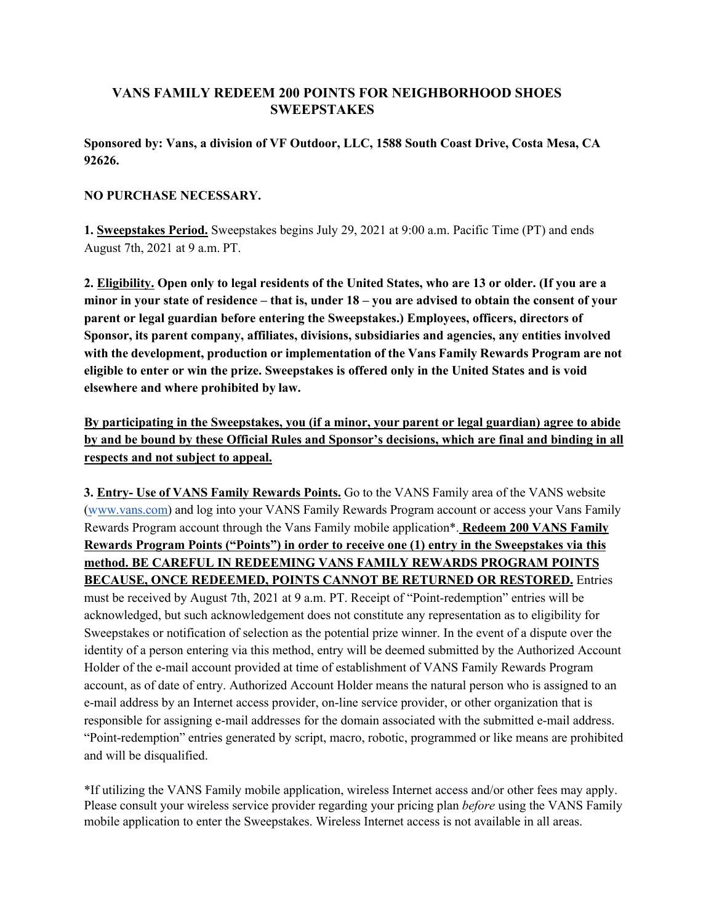## **VANS FAMILY REDEEM 200 POINTS FOR NEIGHBORHOOD SHOES SWEEPSTAKES**

**Sponsored by: Vans, a division of VF Outdoor, LLC, 1588 South Coast Drive, Costa Mesa, CA 92626.**

#### **NO PURCHASE NECESSARY.**

**1. Sweepstakes Period.** Sweepstakes begins July 29, 2021 at 9:00 a.m. Pacific Time (PT) and ends August 7th, 2021 at 9 a.m. PT.

**2. Eligibility. Open only to legal residents of the United States, who are 13 or older. (If you are a minor in your state of residence – that is, under 18 – you are advised to obtain the consent of your parent or legal guardian before entering the Sweepstakes.) Employees, officers, directors of Sponsor, its parent company, affiliates, divisions, subsidiaries and agencies, any entities involved with the development, production or implementation of the Vans Family Rewards Program are not eligible to enter or win the prize. Sweepstakes is offered only in the United States and is void elsewhere and where prohibited by law.**

**By participating in the Sweepstakes, you (if a minor, your parent or legal guardian) agree to abide by and be bound by these Official Rules and Sponsor's decisions, which are final and binding in all respects and not subject to appeal.**

**3. Entry- Use of VANS Family Rewards Points.** Go to the VANS Family area of the VANS website (www.vans.com) and log into your VANS Family Rewards Program account or access your Vans Family Rewards Program account through the Vans Family mobile application\*. **Redeem 200 VANS Family Rewards Program Points ("Points") in order to receive one (1) entry in the Sweepstakes via this method. BE CAREFUL IN REDEEMING VANS FAMILY REWARDS PROGRAM POINTS BECAUSE, ONCE REDEEMED, POINTS CANNOT BE RETURNED OR RESTORED.** Entries must be received by August 7th, 2021 at 9 a.m. PT. Receipt of "Point-redemption" entries will be acknowledged, but such acknowledgement does not constitute any representation as to eligibility for Sweepstakes or notification of selection as the potential prize winner. In the event of a dispute over the identity of a person entering via this method, entry will be deemed submitted by the Authorized Account Holder of the e-mail account provided at time of establishment of VANS Family Rewards Program account, as of date of entry. Authorized Account Holder means the natural person who is assigned to an e-mail address by an Internet access provider, on-line service provider, or other organization that is responsible for assigning e-mail addresses for the domain associated with the submitted e-mail address. "Point-redemption" entries generated by script, macro, robotic, programmed or like means are prohibited and will be disqualified.

\*If utilizing the VANS Family mobile application, wireless Internet access and/or other fees may apply. Please consult your wireless service provider regarding your pricing plan *before* using the VANS Family mobile application to enter the Sweepstakes. Wireless Internet access is not available in all areas.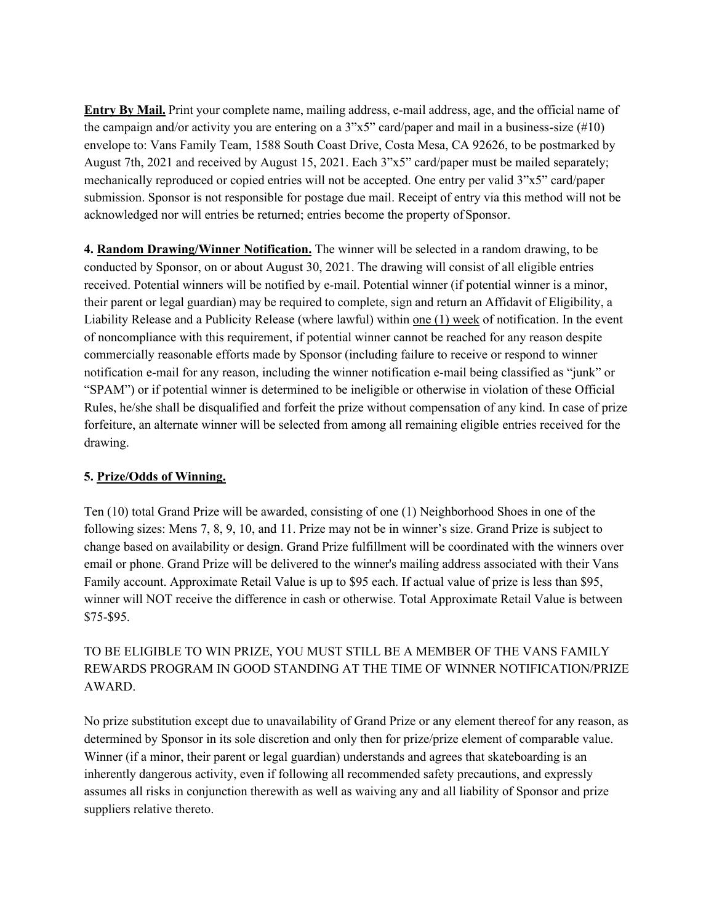**Entry By Mail.** Print your complete name, mailing address, e-mail address, age, and the official name of the campaign and/or activity you are entering on a  $3"x5"$  card/paper and mail in a business-size (#10) envelope to: Vans Family Team, 1588 South Coast Drive, Costa Mesa, CA 92626, to be postmarked by August 7th, 2021 and received by August 15, 2021. Each 3"x5" card/paper must be mailed separately; mechanically reproduced or copied entries will not be accepted. One entry per valid 3"x5" card/paper submission. Sponsor is not responsible for postage due mail. Receipt of entry via this method will not be acknowledged nor will entries be returned; entries become the property of Sponsor.

**4. Random Drawing/Winner Notification.** The winner will be selected in a random drawing, to be conducted by Sponsor, on or about August 30, 2021. The drawing will consist of all eligible entries received. Potential winners will be notified by e-mail. Potential winner (if potential winner is a minor, their parent or legal guardian) may be required to complete, sign and return an Affidavit of Eligibility, a Liability Release and a Publicity Release (where lawful) within one (1) week of notification. In the event of noncompliance with this requirement, if potential winner cannot be reached for any reason despite commercially reasonable efforts made by Sponsor (including failure to receive or respond to winner notification e-mail for any reason, including the winner notification e-mail being classified as "junk" or "SPAM") or if potential winner is determined to be ineligible or otherwise in violation of these Official Rules, he/she shall be disqualified and forfeit the prize without compensation of any kind. In case of prize forfeiture, an alternate winner will be selected from among all remaining eligible entries received for the drawing.

### **5. Prize/Odds of Winning.**

Ten (10) total Grand Prize will be awarded, consisting of one (1) Neighborhood Shoes in one of the following sizes: Mens 7, 8, 9, 10, and 11. Prize may not be in winner's size. Grand Prize is subject to change based on availability or design. Grand Prize fulfillment will be coordinated with the winners over email or phone. Grand Prize will be delivered to the winner's mailing address associated with their Vans Family account. Approximate Retail Value is up to \$95 each. If actual value of prize is less than \$95, winner will NOT receive the difference in cash or otherwise. Total Approximate Retail Value is between \$75-\$95.

# TO BE ELIGIBLE TO WIN PRIZE, YOU MUST STILL BE A MEMBER OF THE VANS FAMILY REWARDS PROGRAM IN GOOD STANDING AT THE TIME OF WINNER NOTIFICATION/PRIZE AWARD.

No prize substitution except due to unavailability of Grand Prize or any element thereof for any reason, as determined by Sponsor in its sole discretion and only then for prize/prize element of comparable value. Winner (if a minor, their parent or legal guardian) understands and agrees that skateboarding is an inherently dangerous activity, even if following all recommended safety precautions, and expressly assumes all risks in conjunction therewith as well as waiving any and all liability of Sponsor and prize suppliers relative thereto.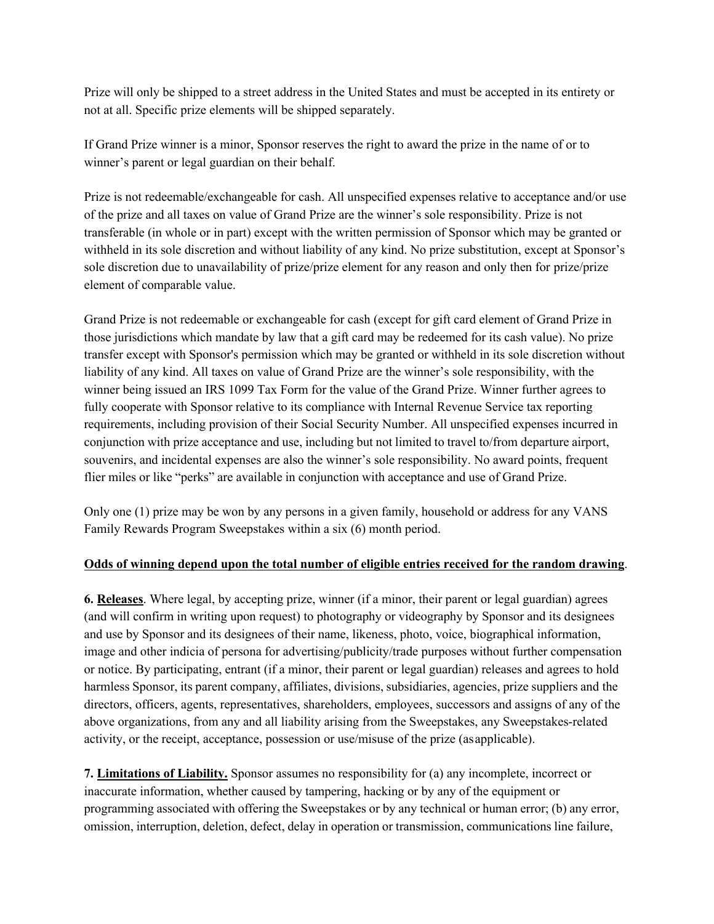Prize will only be shipped to a street address in the United States and must be accepted in its entirety or not at all. Specific prize elements will be shipped separately.

If Grand Prize winner is a minor, Sponsor reserves the right to award the prize in the name of or to winner's parent or legal guardian on their behalf.

Prize is not redeemable/exchangeable for cash. All unspecified expenses relative to acceptance and/or use of the prize and all taxes on value of Grand Prize are the winner's sole responsibility. Prize is not transferable (in whole or in part) except with the written permission of Sponsor which may be granted or withheld in its sole discretion and without liability of any kind. No prize substitution, except at Sponsor's sole discretion due to unavailability of prize/prize element for any reason and only then for prize/prize element of comparable value.

Grand Prize is not redeemable or exchangeable for cash (except for gift card element of Grand Prize in those jurisdictions which mandate by law that a gift card may be redeemed for its cash value). No prize transfer except with Sponsor's permission which may be granted or withheld in its sole discretion without liability of any kind. All taxes on value of Grand Prize are the winner's sole responsibility, with the winner being issued an IRS 1099 Tax Form for the value of the Grand Prize. Winner further agrees to fully cooperate with Sponsor relative to its compliance with Internal Revenue Service tax reporting requirements, including provision of their Social Security Number. All unspecified expenses incurred in conjunction with prize acceptance and use, including but not limited to travel to/from departure airport, souvenirs, and incidental expenses are also the winner's sole responsibility. No award points, frequent flier miles or like "perks" are available in conjunction with acceptance and use of Grand Prize.

Only one (1) prize may be won by any persons in a given family, household or address for any VANS Family Rewards Program Sweepstakes within a six (6) month period.

### **Odds of winning depend upon the total number of eligible entries received for the random drawing**.

**6. Releases**. Where legal, by accepting prize, winner (if a minor, their parent or legal guardian) agrees (and will confirm in writing upon request) to photography or videography by Sponsor and its designees and use by Sponsor and its designees of their name, likeness, photo, voice, biographical information, image and other indicia of persona for advertising/publicity/trade purposes without further compensation or notice. By participating, entrant (if a minor, their parent or legal guardian) releases and agrees to hold harmless Sponsor, its parent company, affiliates, divisions, subsidiaries, agencies, prize suppliers and the directors, officers, agents, representatives, shareholders, employees, successors and assigns of any of the above organizations, from any and all liability arising from the Sweepstakes, any Sweepstakes-related activity, or the receipt, acceptance, possession or use/misuse of the prize (asapplicable).

**7. Limitations of Liability.** Sponsor assumes no responsibility for (a) any incomplete, incorrect or inaccurate information, whether caused by tampering, hacking or by any of the equipment or programming associated with offering the Sweepstakes or by any technical or human error; (b) any error, omission, interruption, deletion, defect, delay in operation or transmission, communications line failure,